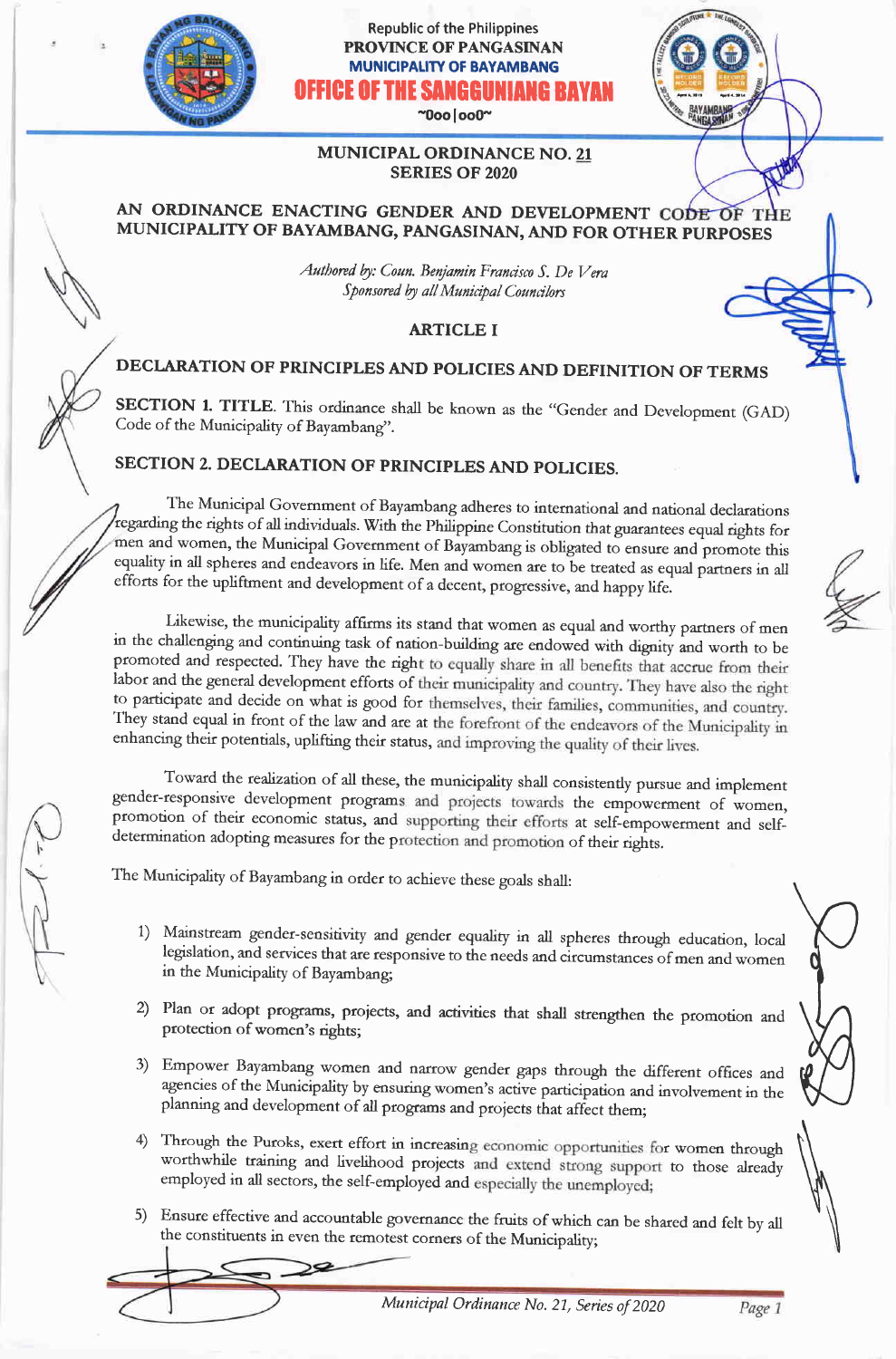

## Republic of the Philippines PROVINCE OF PANGASINAN MUNICIPALITY OF BAYAMBANG ICE OF THE SANGGUNIANG BI

 $"0$ oo $|$ oo $0"$ 

Fatrr

#### MUNICIPAL ORDINANCE NO. <sup>21</sup> SERIES OF 2O2O

## AN ORDINANCE ENACTING GENDER AND DEVELOPMENT CODE OF THE MUNICIPALITY OF BAYAMBANG, PANGASINAN, AND FOR OTHER PURPOSES

Authored by: Coun. Benjamin Francisco S. De Vera Sponsored by all Municipal Councilors

## ARTICLE I

# DECLARATION OF PRINCIPLES AND POLICIES AND DEFINITION OF TERMS

SECTION 1. TITLE. This ordinance shall be known as the "Gender and Development (GAD) Code of the Municipality of Bayambang".

## SECTION 2. DECLARATION OF PRINCIPLES AND POLICIES.

, The Municipal Govemment of Bayambang adheres to international and national declarations regarding the rights of all individuals. With the Philippine Constitution that guarantees equal rights for men and women, the Municipal Government of Bayambang is obligated to ensure and promote this equality in all spheres and endeavors in life. Men and women are to be treated as equal partners in all efforts for the upliftment and development of a decent, progressive, and happy life.

Likewise, the municipality affirms its stand that women as equal and worthy partners of men<br>in the challenging and continuing task of nation-building are endowed with dignity and worth to be<br>promoted and respected. They ha labor and the general development efforts of their municipality and country. They have also the right to participate and decide on what is good for themselves, their families, communities, and country. They stand equal in front of the law and are at the forefront of the endeavors of the Municipality in enhancing their potentials, uplifting their status, and improving the quality of their lives.

Toward the realization of all these, the municipality shall consistently pursue and implement gender-responsive development programs and projects towards the empowerment of women, promotion of their economic status, and supporting their efforts at self-empowerment and self-<br>determination adopting measures for the protection and promotion of their rights.

The Municipality of Bayambang in order to achieve these goals shall:

- 1) Mainstream gender-sensitivity and gender equality in all spheres through education, local legislation, and services that are responsive to the needs and circumstances of men and women in the Municipality of Bayambang;
- 2) Plan or adopt prograrns, proiects, and actiyities that shall strengthen the promotion and protection of women's rights;
- 3) Empower Bayambang women and narrow gender gaps through the different offices and agencies of the Municipality by ensuring women's active participation and involvement in the planning and development of all programs and projects that affect them;
- 4) Through the Puroks, exert effort in increasing economic opportunities for women through worthwhile training and livelihood projects and extend strong support to those already worthwhile training and livelihood projects and extend strong support to those already employed in all sectors, the self-employed and especially the unemployed;
- 5) Ensure effective and accountable governance the fruits of which can be shared and felt by all the constituents in even the remotest corners of the Municipality

k<br>Ma

tu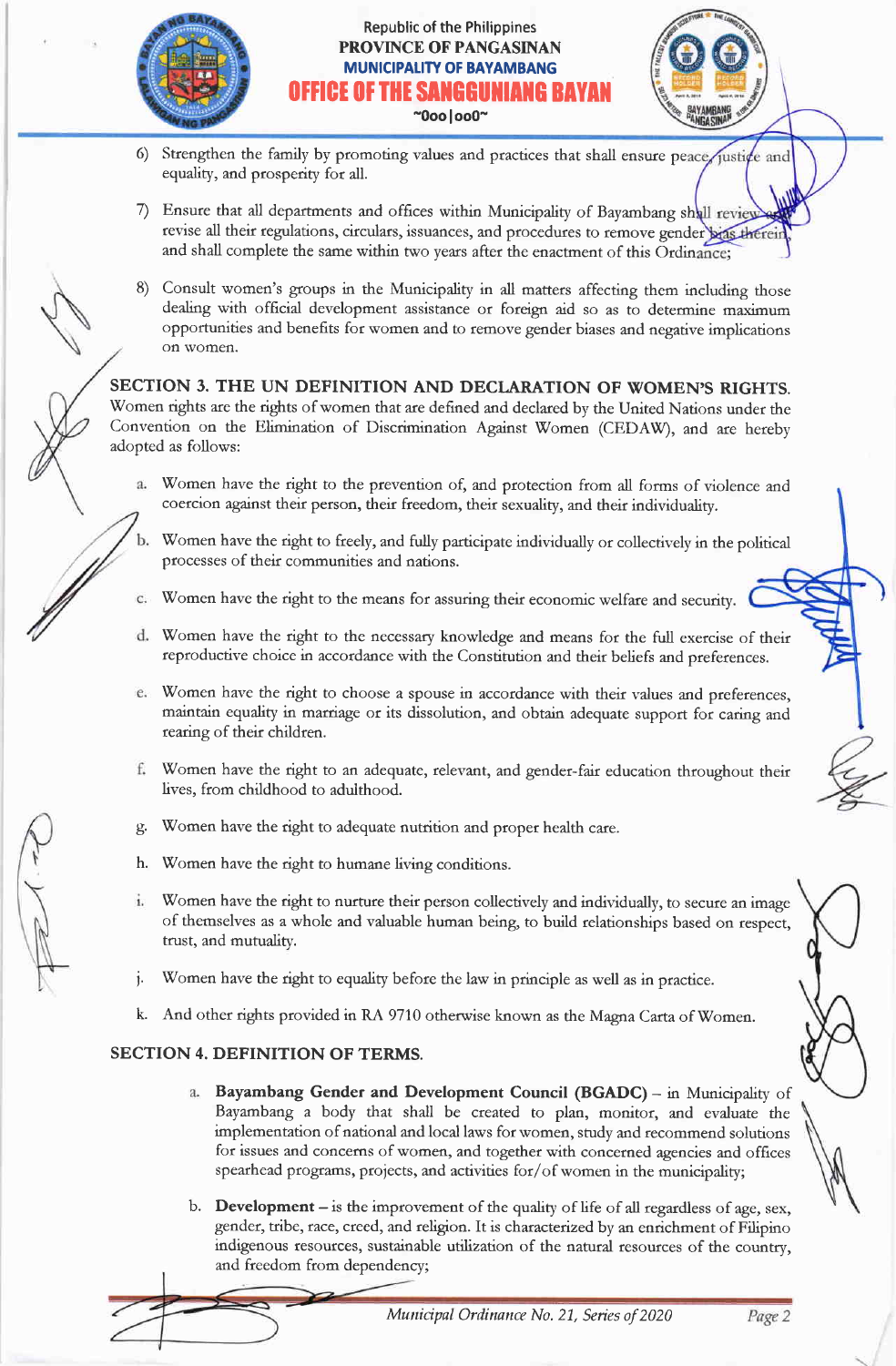

## Republic of the Philippines PROVINCE OF PANGASINAN MUNICIPALITY OF BAYAMBANG ICE OF THE SANGGUNIANG B*i* -0ooloo0-



- 6) Strengthen the family by promoting values and practices that shall ensure peace justice and equality, and prosperity for all.
- Ensure that all departments and offices within Municipality of Bayambang shall review revise all their regulations, circulars, issuances, and procedures to remove gender bias therein and shall complete the same within two years after the enactment of this Ordinance:
- Consult women's groups in the Municipality in all matters affecting them including those dealing with official development assistance or foreign aid so as to determine maximum opportunities and benefits for women and to remove gender biases and negative implications on vomen.

SECTION 3. THE UN DEFINITION AND DECIARATION OF WOMEN'S RIGHTS. Women rights are the rights of women that are defined and declared by the United Nations under the Convention on the Elimination of Discrimination Against Women (CEDAW), and are hereby adopted as follows:

- Women have the right to the prevention of, and protection from all forms of violence and  $a.$ coercion against their person, their freedom, their sexuality, and their individuality.
	- Women have the right to freely, and fully participate individually or collectively in the political processes of their communities and nations.
- Women have the right to the means for assuring their economic welfare and security.
- Women have the right to the necessary knowledge and means for the full exercise of their reproductive choice in accordance with the Constitution and their beliefs and preferences.
- Women have the right to choose a spouse in accordance with their values and preferences, maintain equality in marriage or its dissolution, and obtain adequate support for caring and rearing of their children.
- Women have the right to an adequate, relevant, and gender-fair education throughout their f. lives, from childhood to adulthood.
- Women have the right to adequate nutrition and proper health care. g.
- Women have the right to humane living conditions. h.
- Women have the right to nurture their person collectively and individually, to secure an image i. of themselves as a whole and valuable human being, to build relationships based on respect, trust, and mutualitv.
- Women have the right to equality before the law in principle as well as in practice.
- k. And other rights provided in RA 9710 otherwise known as the Magna Carta of Women.

## SECTION 4. DEFINITION OF TERMS.

- a. Bayambang Gender and Development Council (BGADC) in Municipality of Bayambang a body that shall be created to plan, monitor, and evaluate the implementation of national and local laws for women, study and recommend solutions for issues and concems of women, and together with concerned agencies and offrces spearhead programs, projects, and activities for/of women in the municipality;
- b. **Development** is the improvement of the quality of life of all regardless of age, sex, gender, tribe, race, creed, and religion. It is characterized by an enrichment of Filipino indigenous tesources, sustainable utilization of the natural resources of the country, and freedom from dependency;

Page 2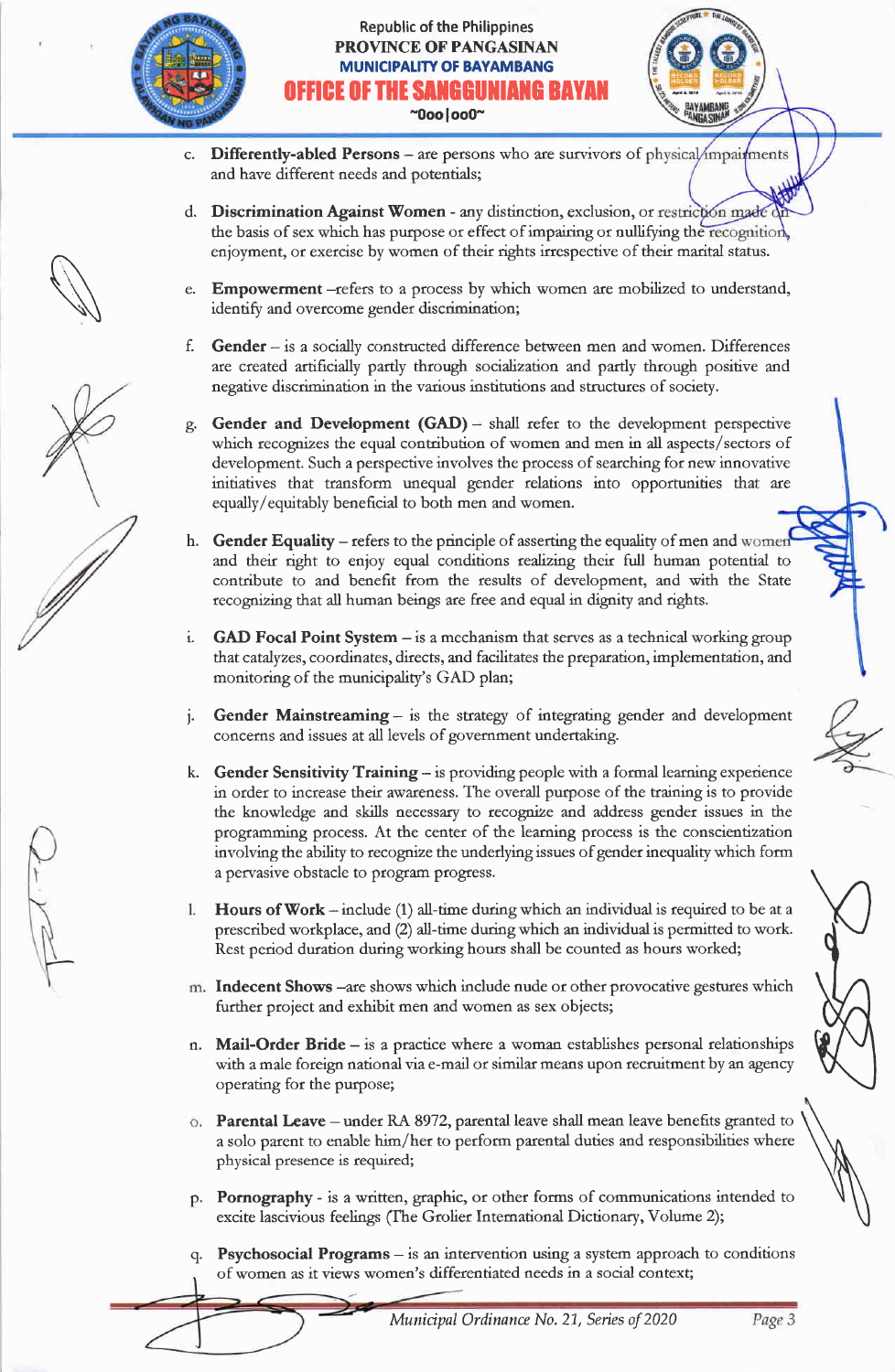

#### Republic of the Philippines PROVINCE OF PANGASINAN **MUNICIPALITY OF BAYAMBANG** OFFICE OF THE SANGGUNIANG BAYAN  $^{\sim}$ 0oo | oo0 $^{\sim}$



- c. Differently-abled Persons are persons who are survivors of physical/impairments and have different needs and potentials;
- d. Discrimination Against Women any distinction, exclusion, or restriction made the basis of sex which has purpose or effect of impairing or nullifying the recognition enjoyment, or exercise by women of their rights irrespective of their marital status.
- **Empowerment** -refers to a process by which women are mobilized to understand, identify and overcome gender discrimination;
- f. Gender is a socially constructed difference between men and women. Differences are created artificially partly through socialization and partly through positive and negative discrimination in the various institutions and structures of society.
- Gender and Development (GAD) shall refer to the development perspective which recognizes the equal contribution of women and men in all aspects/sectors of development. Such a perspective involves the process of searching for new innovative initiatives that transform unequal gender relations into opporrunities that are equally/equitably beneficial to both men and women.
- h. Gender Equality refers to the principle of asserting the equality of men and women and their right to enjoy equal conditions realizing their full human potential to contribute to and benefit from the results of development, and with the State recognizing that all human beings are free and equal in dignity and rights.
- i. GAD Focal Point System is a mechanism that serves as a technical working group that catalyzes, coordinates, directs, and facilitates the preparation, implementation, and monitoring of the municipality's GAD plan;
- j. Gender Mainstreaming is the strategy of integrating gender and development concerns and issues at all levels of government undertaking.
- k. Gender Sensitivity Training  $-$  is providing people with a formal learning experience in order to increase their awareness. The overall purpose of the training is to provide the knowledge and skills necessary to recognize and address gender issues in the programming process. At the center of the leaming process is the conscientization involving the ability to recognize the underlying issues of gender ineguality which form a perrasive obstacle to program progress.
- Flours of Work include (1) all-time during which an individual is required to be at <sup>a</sup> l. prescribed workplace, and (2) all-time during which an individual is permitted to work. Rest period duration during working hours shall be counted as hours worked;
- in. Indecent Shows -are shows which include nude or other provocative gestures which further project and exhibit men and women as sex objects;
- n. Mail-Order Bride is a practice where a woman establishes personal relationships with a male foreign national via e-mail or similar means upon recruitment by an agency operating for the purpose;
- $\ddot{\text{o}}$ . Parental Leave under RA 8972, parental leave shall mean leave benefits granted to a solo parent to enable him/her to perform parental duties and responsibilities where physical presence is required;
- p. Pornography is a written, graphic, or other forms of communications intended to excite lascivious feelings (fhe Grolier Intemational Dictionary, Volume 2);
- q. Psychosocial Programs is an intervention using a system approach to conditions of women as it views women's differentiated needs in a social context;

 $\int$ **WANT**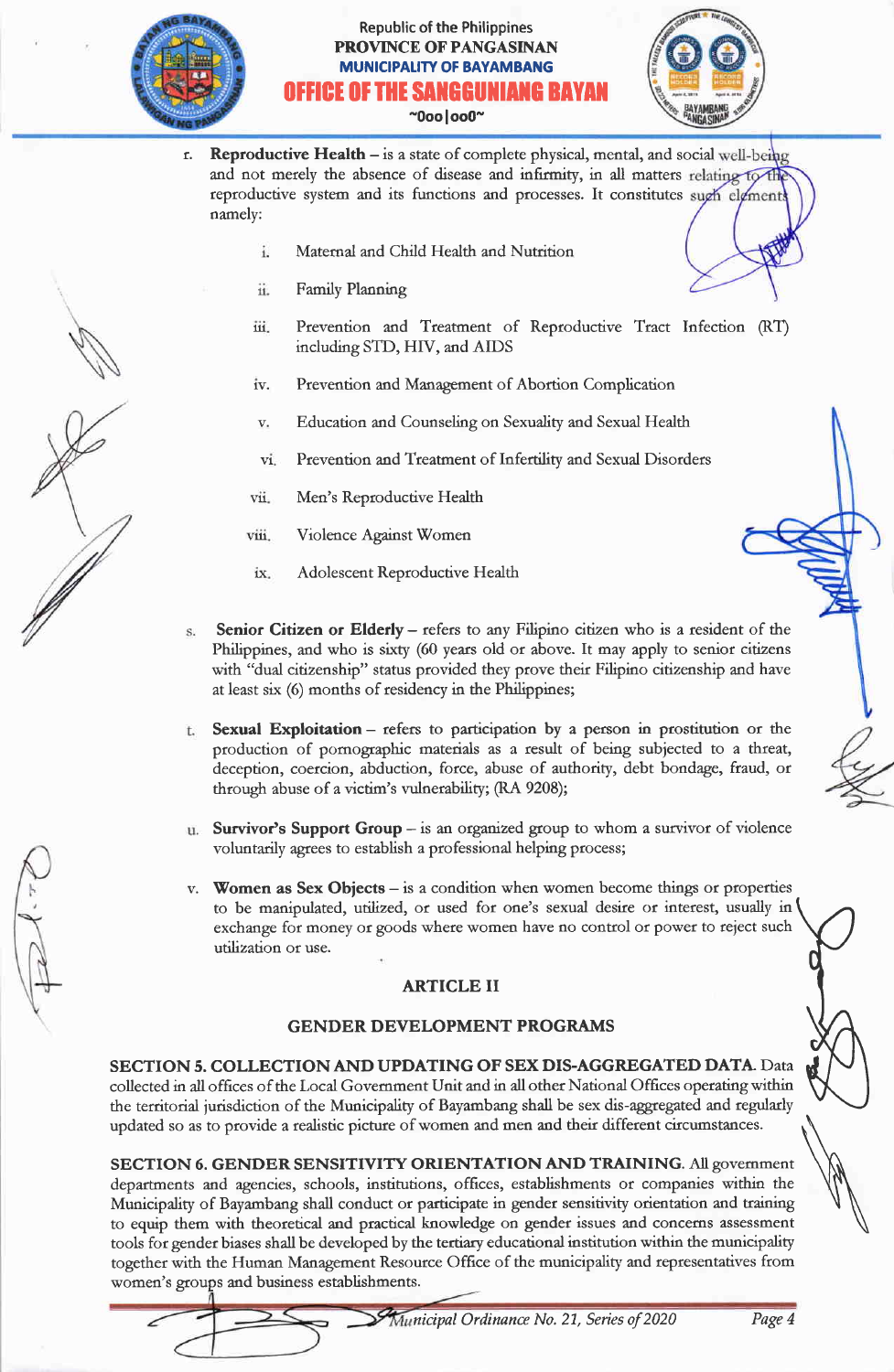

## Republic of the Philippines PROVINCE OF PANGASINAN **MUNICIPALITY OF BAYAMBANG** FICE OF THE SANGGUNIANG BAY  $^{\sim}$ 0oo $|$ oo0 $^{\sim}$



- r. Reproductive Health is a state of complete physical, mental, and social well-being and not merely the absence of disease and infirmity, in all matters relating to the reproductive system and its functions and processes. It constitutes sugh elgment namely:
	- Maternal and Child Health and Nutrition  $\ddot{1}$
	- ii. Family Planning
	- 111 Prevention and Treatment of Reproductive Tract Infection (RT) including STD, HIV, and AIDS
	- 1V. Prevention and Management of Abortion Complication
	- v. Education and Counseling on Sexuality and Sexual Health
	- $\rm{vi}$ Prevention and Treatment of Infertility and Sexual Disorders
	- vii. Meo's Reproductive Health
	- viii. Violence Against Women
	- $ix.$ Adolescent Reproductive Health
- Senior Citizen or Elderly refers to any Filipino citizen who is a resident of the Philippines, and who is sixty (60 years old or above. It may apply to senior citizens with "dual citizenship" status provided they prove their Filipino citizenship and have at least six (6) months of residency in the Philippines;
- Sexual Exploitation refers to participation by a person in prostitution or the  $t.$ production of pomographic materials as a result of being subjected to a threat, deception, coercion, abduction, force, abuse of authority, debt bondage, fraud, or through abuse of a victim's vulnerability; (RA 9208);
- Survivor's Support Group is an organized goup to whom a survivor of violence voluntarily agrees to establish a professional helping process;
- v. Women as Sex Objects is a condition when women become things or properties to be manipulated, utilized, or used for one's sexual desire or interest, usually in exchange for money or goods where women have no control or power to reject such utilization or use.

## ARTICLE II

## GENDER DEYELOPMENT PROGRAMS

SECTION 5. COLLECTION AND UPDATING OF SEX DIS-AGGREGATED DATA. Data collected in all offrces of the Local Govemment Unit and in all other National Offices operating within the territorial jurisdiction of the Municipality of Bayambang shall be sex dis-aggregated and regulady updated so as to provide a realistic picture of women and men and their different circumstances.

SECTION 6. GENDER SENSITIVITY ORIENTATION AND TRAINING. All government departments and agencies, schools, institutions, offrces, establishments or companies within the Municipality of Bayambang shall conduct or participate in gender sensitivity orientation and training to equip them with theoretical and practical knowledge on gender issues and concems assessment tools for gender biases shall be developed by the tertiary educational institution within the municipality together with the Human Management Resource Office of the municipality and representatives from women's groups and business establishments.